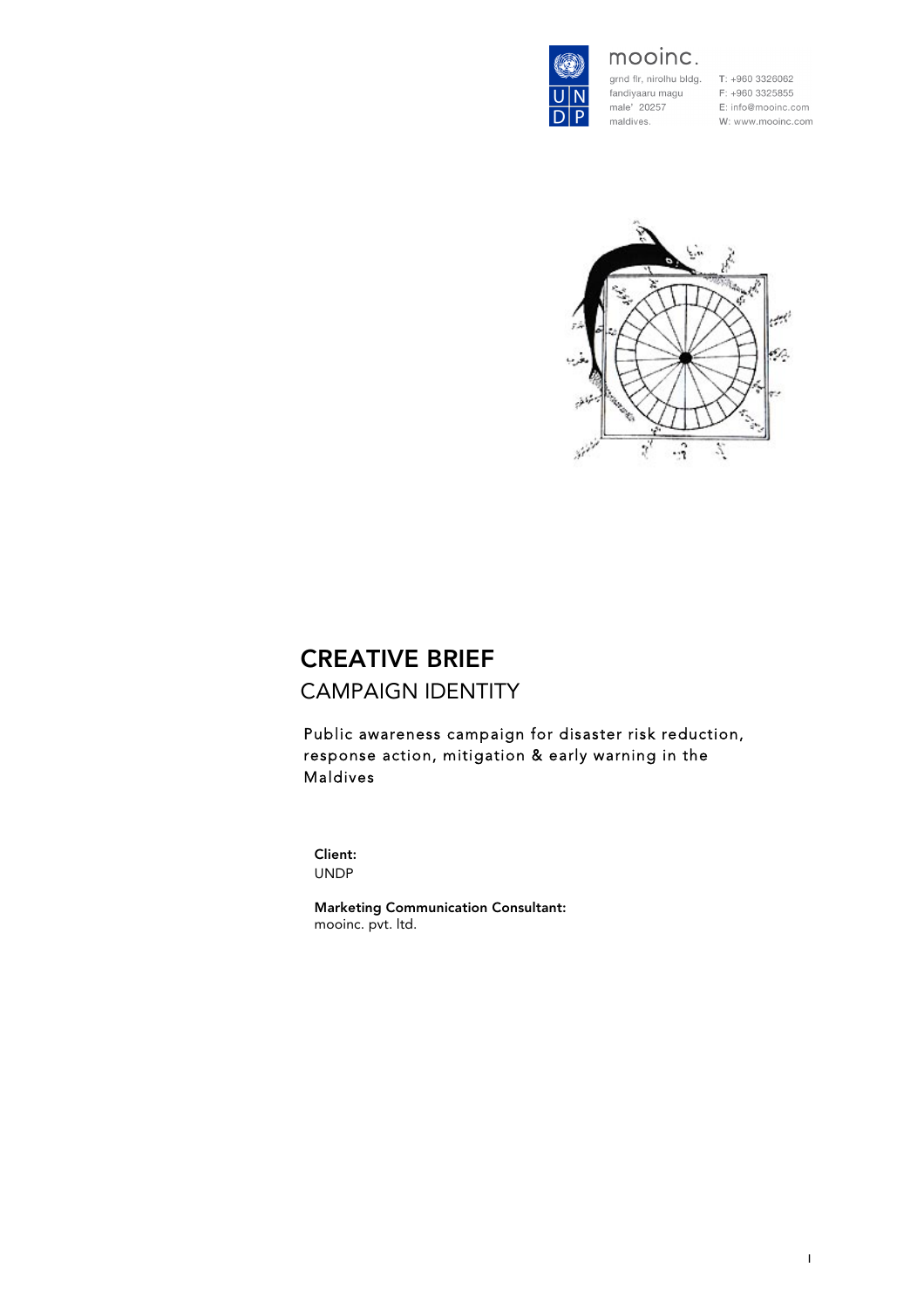

mooinc. grnd flr, nirolhu bldg. T: +960 3326062 fandiyaaru magu male' 20257 maldives.

F: +960 3325855 E: info@mooinc.com W: www.mooinc.com



# CREATIVE BRIEF CAMPAIGN IDENTITY

Public awareness campaign for disaster risk reduction, response action, mitigation & early warning in the Maldives

Client: UNDP

Marketing Communication Consultant: mooinc. pvt. ltd.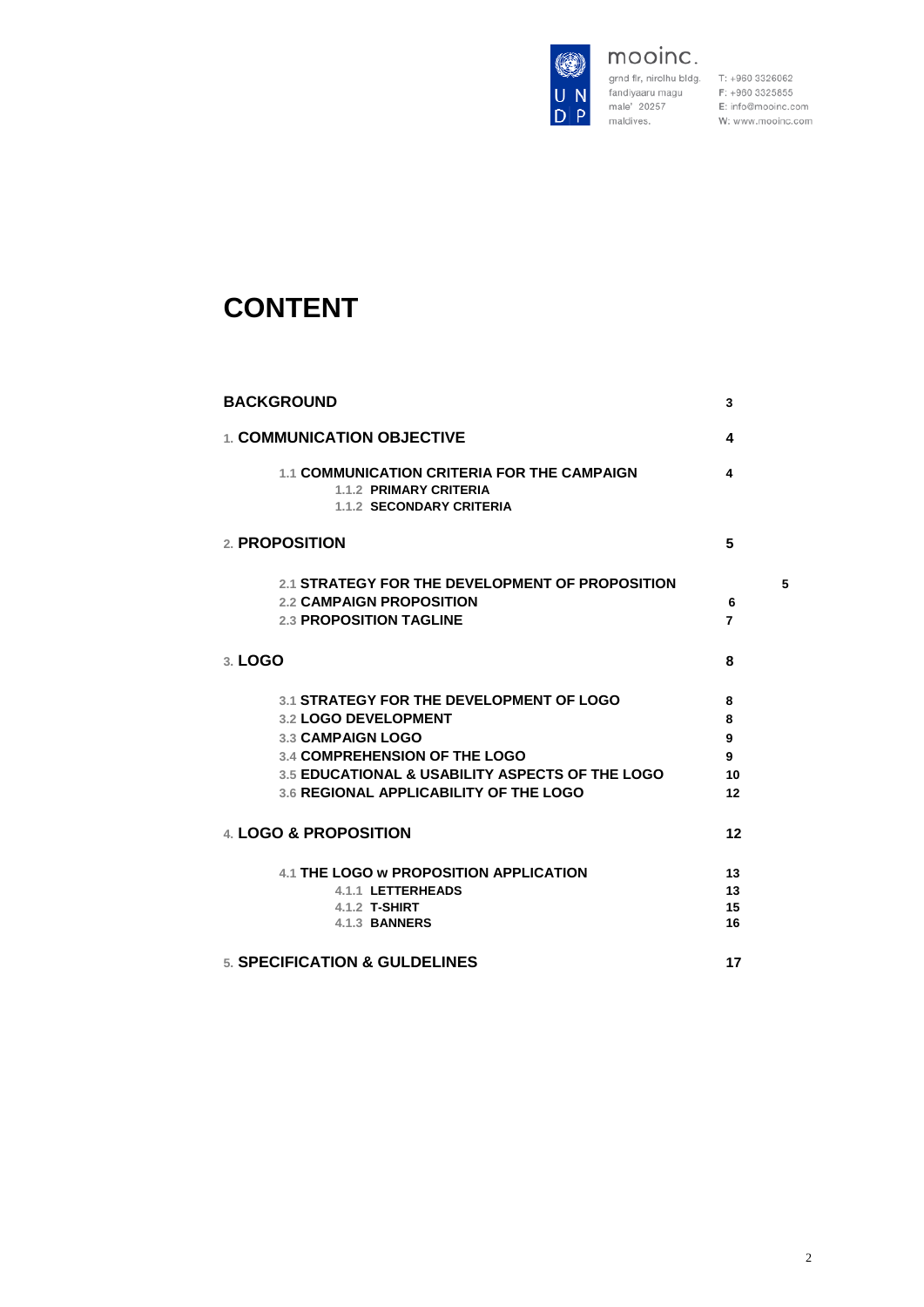

mooinc. grad fir, nirolhu bldg.<br>
fandiyaaru magu F: +960 3326062<br>
fandiyaaru magu F: +960 3325855<br>
male' 20257 E: info@mooinc.com<br>
maldives. W: www.mooinc.com

W: www.mooinc.com

# **CONTENT**

| <b>BACKGROUND</b>                                                                                        |    | 3 |  |
|----------------------------------------------------------------------------------------------------------|----|---|--|
| <b>1. COMMUNICATION OBJECTIVE</b>                                                                        | 4  |   |  |
| <b>1.1 COMMUNICATION CRITERIA FOR THE CAMPAIGN</b><br>1.1.2 PRIMARY CRITERIA<br>1.1.2 SECONDARY CRITERIA | 4  |   |  |
| 2. PROPOSITION                                                                                           | 5  |   |  |
| 2.1 STRATEGY FOR THE DEVELOPMENT OF PROPOSITION                                                          |    | 5 |  |
| <b>2.2 CAMPAIGN PROPOSITION</b>                                                                          | 6  |   |  |
| <b>2.3 PROPOSITION TAGLINE</b>                                                                           | 7  |   |  |
| 3. LOGO                                                                                                  | 8  |   |  |
| 3.1 STRATEGY FOR THE DEVELOPMENT OF LOGO                                                                 | 8  |   |  |
| 3.2 LOGO DEVELOPMENT                                                                                     | 8  |   |  |
| <b>3.3 CAMPAIGN LOGO</b>                                                                                 | 9  |   |  |
| 3.4 COMPREHENSION OF THE LOGO                                                                            | 9  |   |  |
| <b>3.5 EDUCATIONAL &amp; USABILITY ASPECTS OF THE LOGO</b>                                               | 10 |   |  |
| 3.6 REGIONAL APPLICABILITY OF THE LOGO                                                                   | 12 |   |  |
| 4. LOGO & PROPOSITION                                                                                    | 12 |   |  |
| 4.1 THE LOGO w PROPOSITION APPLICATION                                                                   | 13 |   |  |
| 4.1.1 LETTERHEADS                                                                                        | 13 |   |  |
| 4.1.2 T-SHIRT                                                                                            | 15 |   |  |
| 4.1.3 BANNERS                                                                                            | 16 |   |  |
| <b>5. SPECIFICATION &amp; GULDELINES</b>                                                                 | 17 |   |  |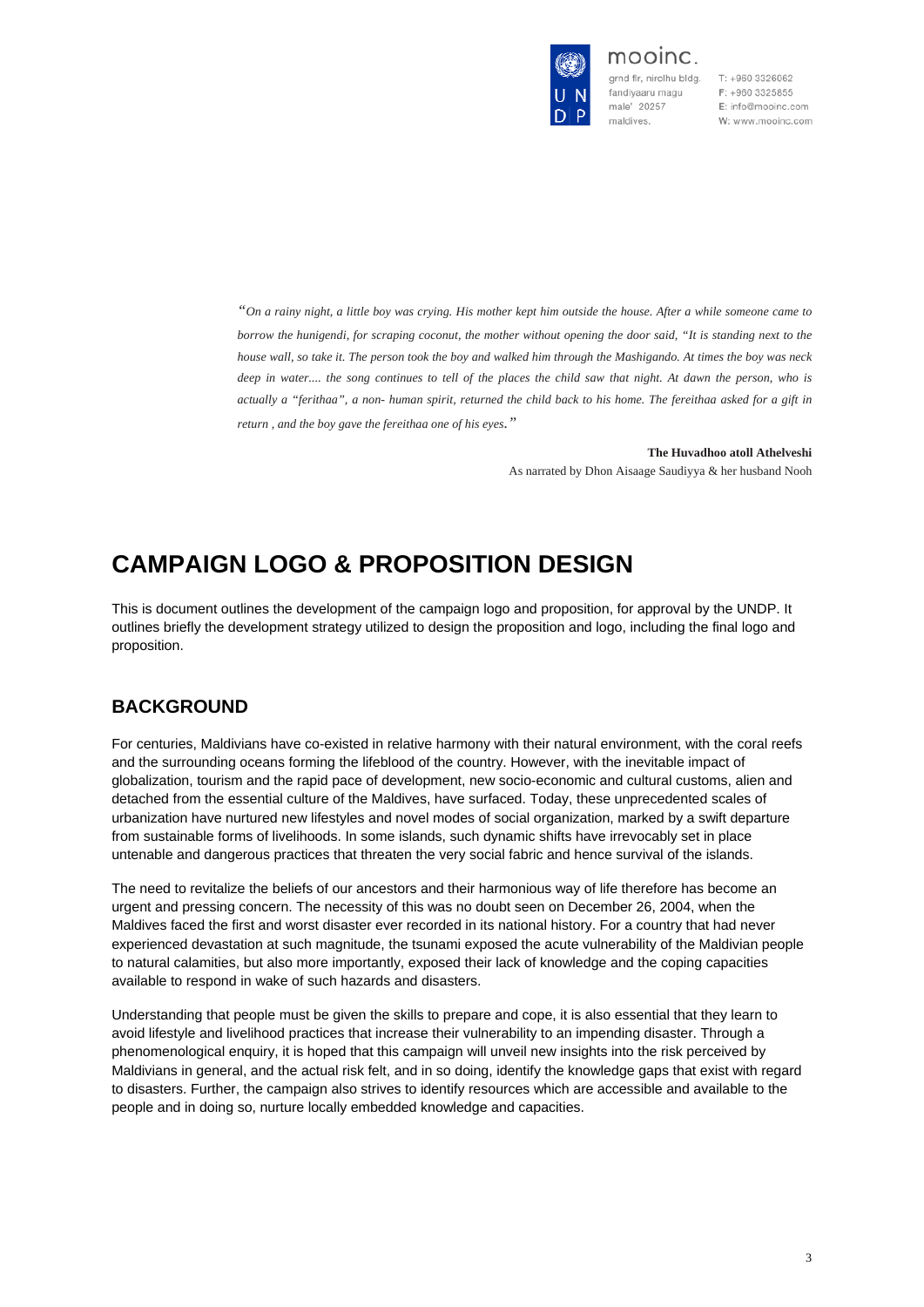

mooinc. grnd flr, nirolhu bldg. T: +960 3326062 fandiyaaru magu male' 20257 maldives.

F: +960 3325855 E: info@mooinc.com W: www.mooinc.com

*"On a rainy night, a little boy was crying. His mother kept him outside the house. After a while someone came to borrow the hunigendi, for scraping coconut, the mother without opening the door said, "It is standing next to the house wall, so take it. The person took the boy and walked him through the Mashigando. At times the boy was neck deep in water.... the song continues to tell of the places the child saw that night. At dawn the person, who is actually a "ferithaa", a non- human spirit, returned the child back to his home. The fereithaa asked for a gift in return , and the boy gave the fereithaa one of his eyes."* 

**The Huvadhoo atoll Athelveshi** 

As narrated by Dhon Aisaage Saudiyya & her husband Nooh

# **CAMPAIGN LOGO & PROPOSITION DESIGN**

This is document outlines the development of the campaign logo and proposition, for approval by the UNDP. It outlines briefly the development strategy utilized to design the proposition and logo, including the final logo and proposition.

## **BACKGROUND**

For centuries, Maldivians have co-existed in relative harmony with their natural environment, with the coral reefs and the surrounding oceans forming the lifeblood of the country. However, with the inevitable impact of globalization, tourism and the rapid pace of development, new socio-economic and cultural customs, alien and detached from the essential culture of the Maldives, have surfaced. Today, these unprecedented scales of urbanization have nurtured new lifestyles and novel modes of social organization, marked by a swift departure from sustainable forms of livelihoods. In some islands, such dynamic shifts have irrevocably set in place untenable and dangerous practices that threaten the very social fabric and hence survival of the islands.

The need to revitalize the beliefs of our ancestors and their harmonious way of life therefore has become an urgent and pressing concern. The necessity of this was no doubt seen on December 26, 2004, when the Maldives faced the first and worst disaster ever recorded in its national history. For a country that had never experienced devastation at such magnitude, the tsunami exposed the acute vulnerability of the Maldivian people to natural calamities, but also more importantly, exposed their lack of knowledge and the coping capacities available to respond in wake of such hazards and disasters.

Understanding that people must be given the skills to prepare and cope, it is also essential that they learn to avoid lifestyle and livelihood practices that increase their vulnerability to an impending disaster. Through a phenomenological enquiry, it is hoped that this campaign will unveil new insights into the risk perceived by Maldivians in general, and the actual risk felt, and in so doing, identify the knowledge gaps that exist with regard to disasters. Further, the campaign also strives to identify resources which are accessible and available to the people and in doing so, nurture locally embedded knowledge and capacities.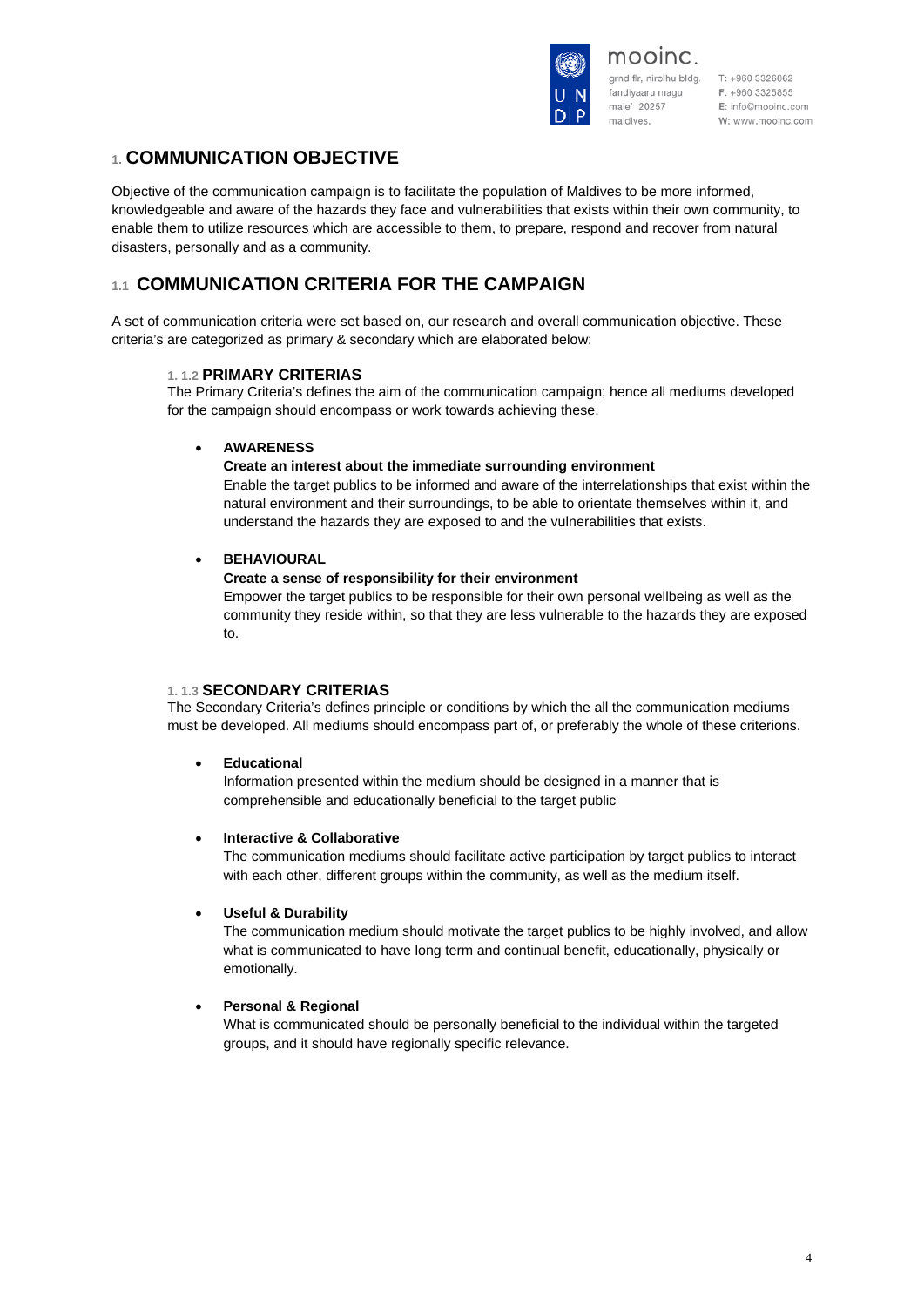

grnd flr, nirolhu bldg. T: +960 3326062 F: +960 3325855 E: info@mooinc.com W: www.mooinc.com

## **1. COMMUNICATION OBJECTIVE**

Objective of the communication campaign is to facilitate the population of Maldives to be more informed, knowledgeable and aware of the hazards they face and vulnerabilities that exists within their own community, to enable them to utilize resources which are accessible to them, to prepare, respond and recover from natural disasters, personally and as a community.

## **1.1 COMMUNICATION CRITERIA FOR THE CAMPAIGN**

A set of communication criteria were set based on, our research and overall communication objective. These criteria's are categorized as primary & secondary which are elaborated below:

## **1. 1.2 PRIMARY CRITERIAS**

The Primary Criteria's defines the aim of the communication campaign; hence all mediums developed for the campaign should encompass or work towards achieving these.

## **AWARENESS**

## **Create an interest about the immediate surrounding environment**

Enable the target publics to be informed and aware of the interrelationships that exist within the natural environment and their surroundings, to be able to orientate themselves within it, and understand the hazards they are exposed to and the vulnerabilities that exists.

## **BEHAVIOURAL**

## **Create a sense of responsibility for their environment**

Empower the target publics to be responsible for their own personal wellbeing as well as the community they reside within, so that they are less vulnerable to the hazards they are exposed to.

## **1. 1.3 SECONDARY CRITERIAS**

The Secondary Criteria's defines principle or conditions by which the all the communication mediums must be developed. All mediums should encompass part of, or preferably the whole of these criterions.

## **Educational**

Information presented within the medium should be designed in a manner that is comprehensible and educationally beneficial to the target public

## **Interactive & Collaborative**

The communication mediums should facilitate active participation by target publics to interact with each other, different groups within the community, as well as the medium itself.

## **Useful & Durability**

The communication medium should motivate the target publics to be highly involved, and allow what is communicated to have long term and continual benefit, educationally, physically or emotionally.

## **Personal & Regional**

What is communicated should be personally beneficial to the individual within the targeted groups, and it should have regionally specific relevance.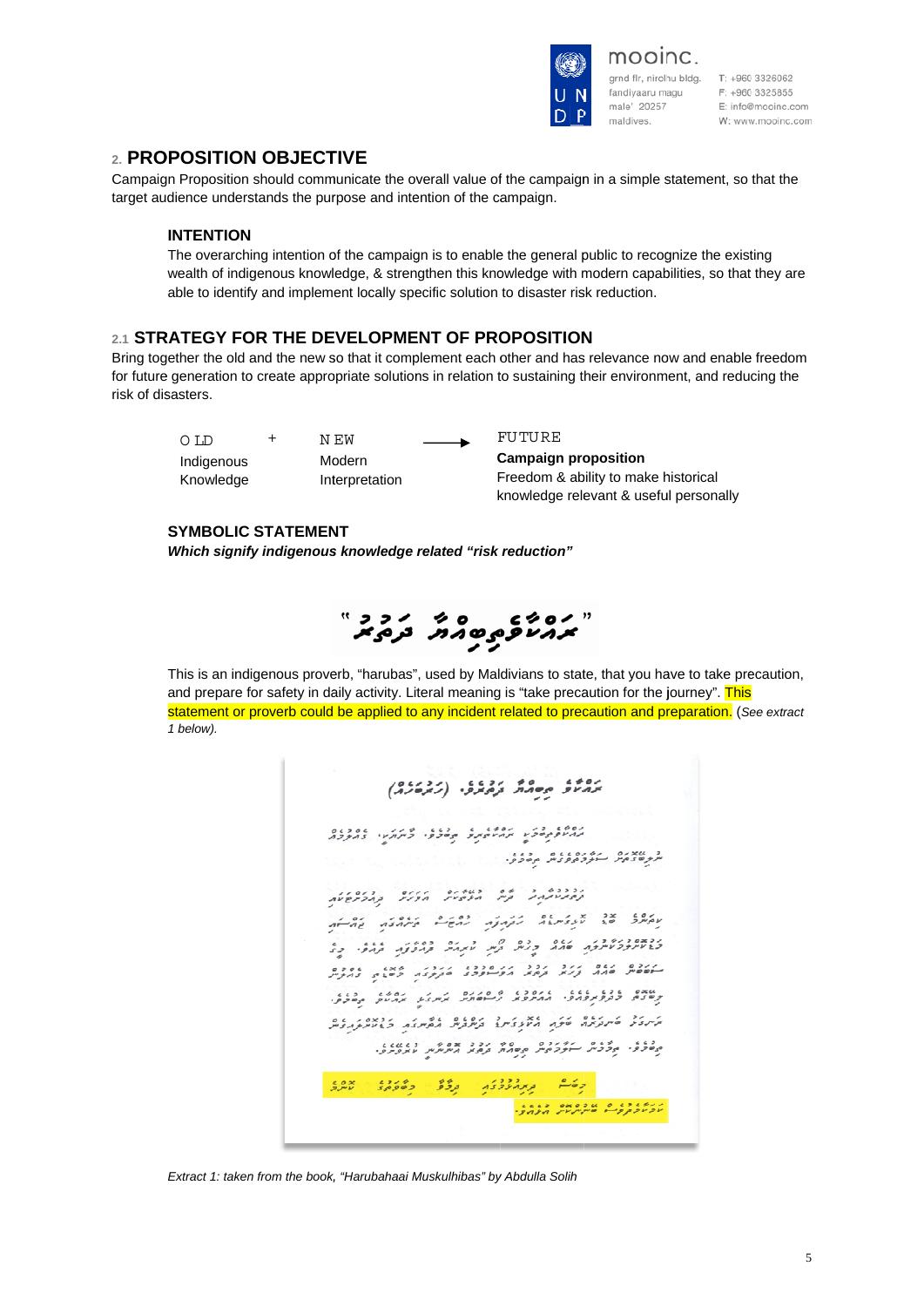

mooinc grnd flr, nirolhu bldg. T: +960 3326062 fandiyaaru magu male' 20257 maldives.

F: +960 3325855 E: info@mooinc.com W: www.mooinc.com

## 2. PROPOSITION OBJECTIVE

Campaign Proposition should communicate the overall value of the campaign in a simple statement, so that the target audience understands the purpose and intention of the campaign.

## **INTENTION**

The overarching intention of the campaign is to enable the general public to recognize the existing wealth of indigenous knowledge, & strengthen this knowledge with modern capabilities, so that they are able to identify and implement locally specific solution to disaster risk reduction.

## **2.1 STRATEGY FOR THE DEVELOPMENT OF PROPOSITION**

Bring together the old and the new so that it complement each other and has relevance now and enable freedom for future generation to create appropriate solutions in relation to sustaining their environment, and reducing the risk of dis sasters.

O LD Indigenous Knowledge

N EW Modern **Interpretation** +

F FUTURE **Campaign proposition** Freedom & ability to make historical knowledge relevant & useful personally

## SYMBOLIC STATEMENT

**Which signify indigenous knowledge related "risk reduction"** 



This is an indigenous proverb, "harubas", used by Maldivians to state, that you have to take precaution, and prepare for safety in daily activity. Literal meaning is "take precaution for the journey". This statement or proverb could be applied to any incident related to precaution and preparation. (See extract *1 below).* 

رەم، مەھ رودى. (ئۇمزى נסטו כבע מפטי ו כול ביתועי וסבום د بايدره كوروباياه دي.<br>سربر ۱۳۵۶ كوروبوتر مردود. APAR NEAR CAR LAGA LAST 20 20 وريد وويروكم المدار ورام المرام المرام والمرور المروا المعالم المنافي 2006 220 121 220 120 120 120 211 220 230 بيعده بادء بادء باردود ورودي كردر كريرى دود ودور يرسرى كالمركز وكالمر والمعتمد والمحافظ المتح المناس ويا للمركز والمالي أوعتم بإبلادي برقاق وفاتين التجرى 

Extract 1: taken from the book, "Harubahaai Muskulhibas" by Abdulla Solih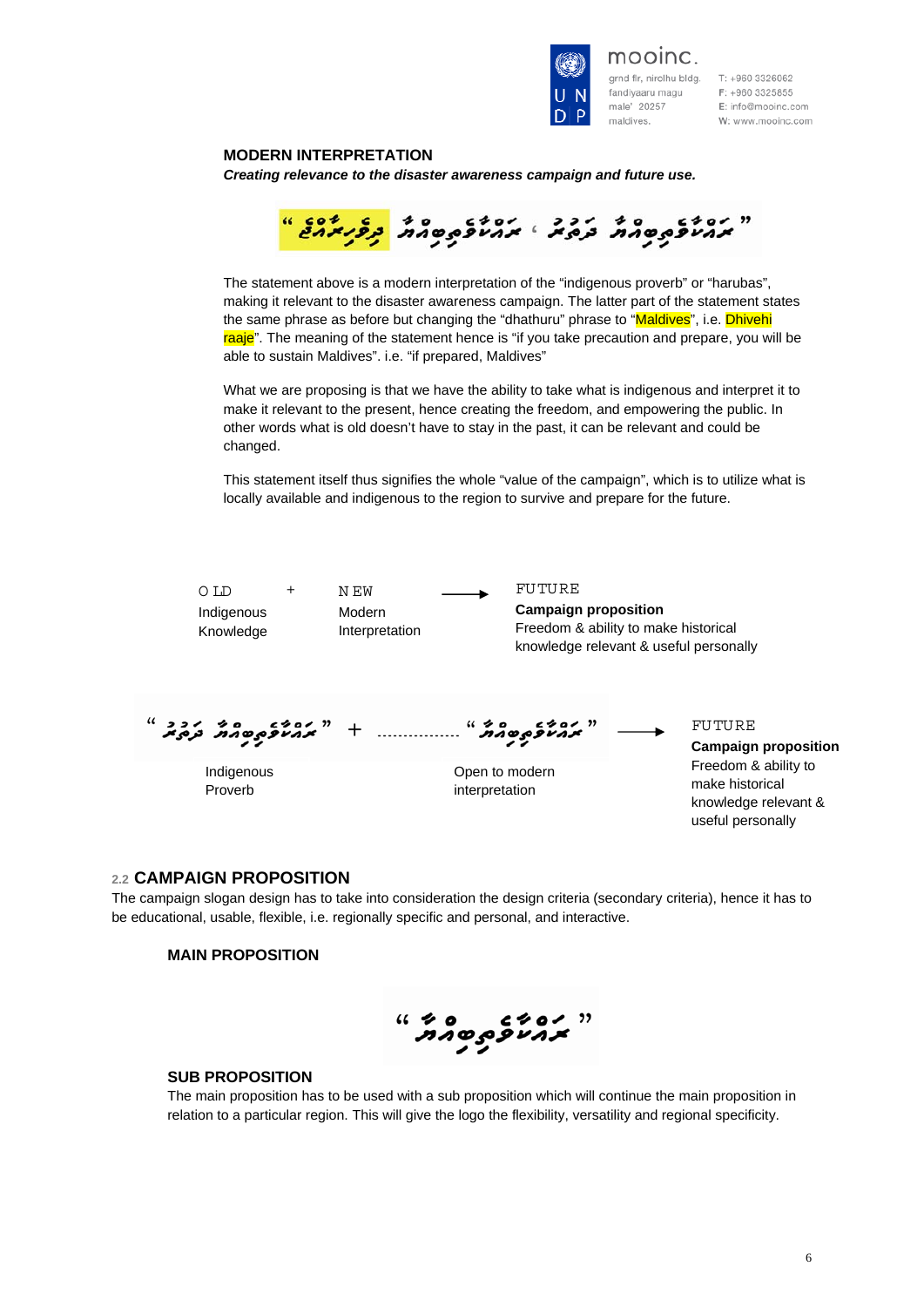

#### **MODERN INTERPRETATION**

*Creating relevance to the disaster awareness campaign and future use.* 



The statement above is a modern interpretation of the "indigenous proverb" or "harubas", making it relevant to the disaster awareness campaign. The latter part of the statement states the same phrase as before but changing the "dhathuru" phrase to "Maldives", i.e. Dhivehi raaje". The meaning of the statement hence is "if you take precaution and prepare, you will be able to sustain Maldives". i.e. "if prepared, Maldives"

What we are proposing is that we have the ability to take what is indigenous and interpret it to make it relevant to the present, hence creating the freedom, and empowering the public. In other words what is old doesn't have to stay in the past, it can be relevant and could be changed.

This statement itself thus signifies the whole "value of the campaign", which is to utilize what is locally available and indigenous to the region to survive and prepare for the future.

O LD Indigenous Knowledge +

N EW Modern Interpretation FUTURE **Campaign proposition**  Freedom & ability to make historical knowledge relevant & useful personally

" גם גם הב גבב<br>" **ג'ו**טפ<sub>ת ס</sub>ונות בנהיו

Indigenous Proverb

Open to modern interpretation

FUTURE

**Campaign proposition**  Freedom & ability to make historical knowledge relevant & useful personally

## **2.2 CAMPAIGN PROPOSITION**

The campaign slogan design has to take into consideration the design criteria (secondary criteria), hence it has to be educational, usable, flexible, i.e. regionally specific and personal, and interactive.

#### **MAIN PROPOSITION**



#### **SUB PROPOSITION**

The main proposition has to be used with a sub proposition which will continue the main proposition in relation to a particular region. This will give the logo the flexibility, versatility and regional specificity.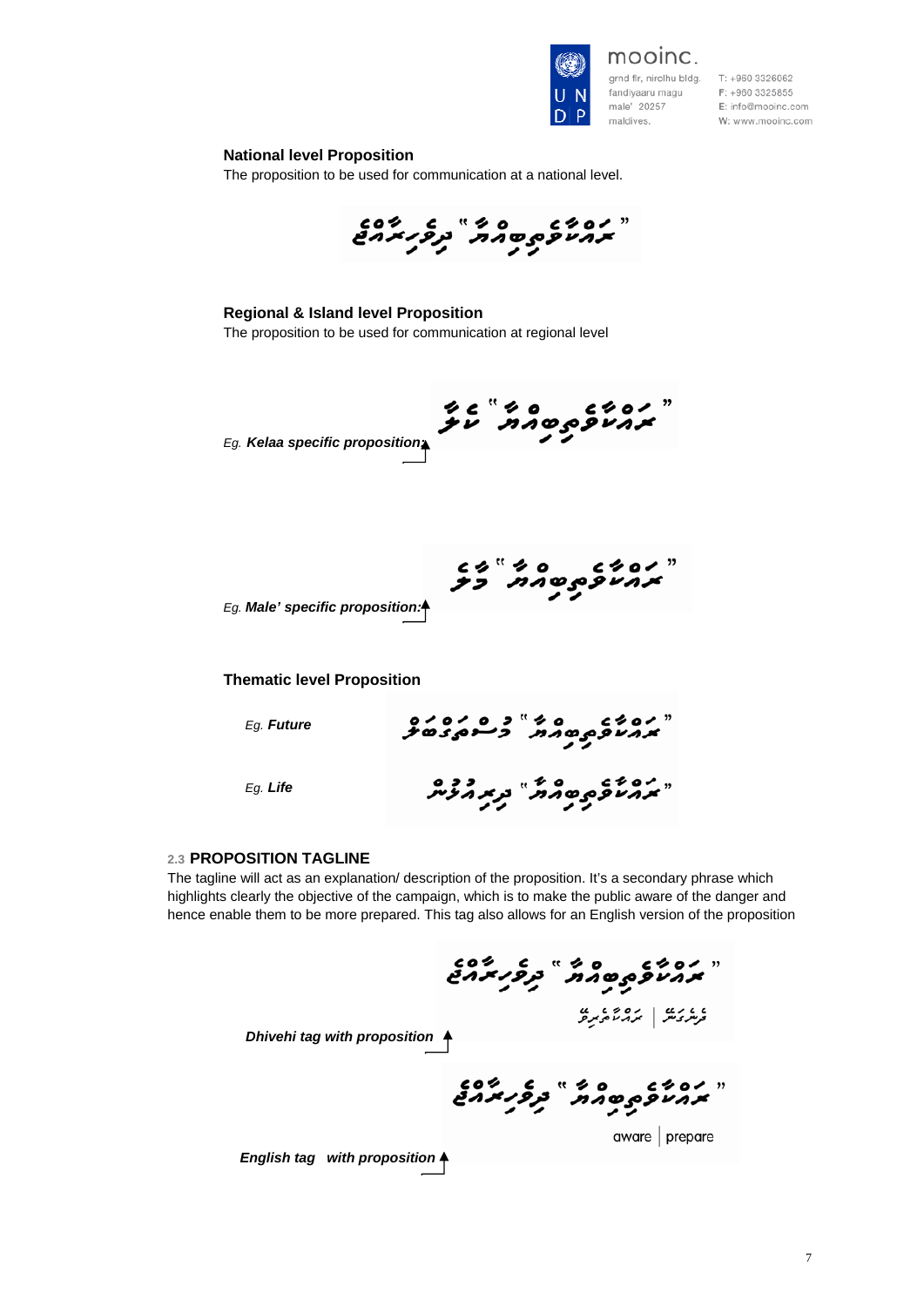

grnd flr, nirolhu bldg. T: +960 3326062<br>fandiyaaru magu F: +960 3325855

# E: info@mooinc.com W: www.mooinc.com

## **National level Proposition**

The proposition to be used for communication at a national level.



## **Regional & Island level Proposition**

The proposition to be used for communication at regional level



מסמים סמ"מים<br>*תהטפתסהה ב<del>ת</del>* 

*Eg. Male' specific proposition:*

## **Thematic level Proposition**

" מסמט פני" כפיסים.<br>"מגעפתפגמ" כ-מתצס<del>י</del>ל *Eg. Future*  " מסשט ספי" בנמחתית *Eg. Life* 

## **2.3 PROPOSITION TAGLINE**

The tagline will act as an explanation/ description of the proposition. It's a secondary phrase which highlights clearly the objective of the campaign, which is to make the public aware of the danger and hence enable them to be more prepared. This tag also allows for an English version of the proposition

ים שם פים הא" תפקידו בם<br>מהמפתים הא" תפקידו ב ، ، ، ر ، ، ، ، ، ، ،<br>تر*س ی*س | بر برنام<u>ی برو</u> *Dhivehi tag with proposition* ים שם פים הח" בקפק זהם.<br>זהה טפק סהח" בקפק זההם

aware  $|$  prepare

*English tag with proposition*

7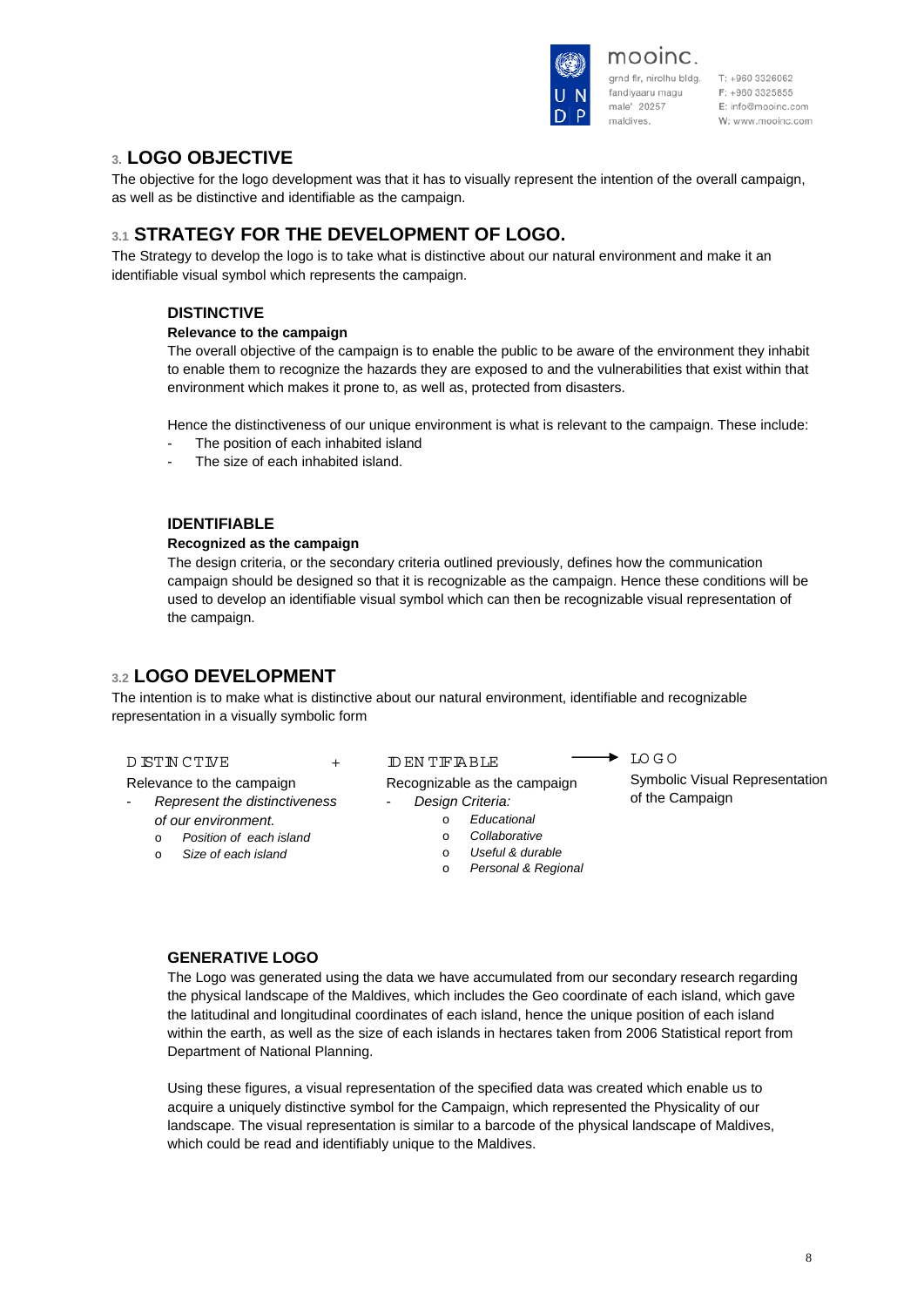

mooinc grnd fir, nirolhu bldg. fandiyaaru magu male' 20257 maldives.

T: +960 3326062 F: +960 3325855 E: info@mooinc.com W: www.mooinc.com

## **3. LOGO OBJECTIVE**

The objective for the logo development was that it has to visually represent the intention of the overall campaign, as well as be distinctive and identifiable as the campaign.

## **3.1 STRATEGY FOR THE DEVELOPMENT OF LOGO.**

The Strategy to develop the logo is to take what is distinctive about our natural environment and make it an identifiable visual symbol which represents the campaign.

## **DISTINCTIVE**

## **Relevance to the campaign**

The overall objective of the campaign is to enable the public to be aware of the environment they inhabit to enable them to recognize the hazards they are exposed to and the vulnerabilities that exist within that environment which makes it prone to, as well as, protected from disasters.

Hence the distinctiveness of our unique environment is what is relevant to the campaign. These include:

- The position of each inhabited island
- The size of each inhabited island.

## **IDENTIFIABLE**

#### **Recognized as the campaign**

The design criteria, or the secondary criteria outlined previously, defines how the communication campaign should be designed so that it is recognizable as the campaign. Hence these conditions will be used to develop an identifiable visual symbol which can then be recognizable visual representation of the campaign.

## **3.2 LOGO DEVELOPMENT**

The intention is to make what is distinctive about our natural environment, identifiable and recognizable representation in a visually symbolic form

## D ISTIN CTIVE

- Relevance to the campaign
	- *Represent the distinctiveness of our environment.*
	- o *Position of each island*
	- o *Size of each island*
	-

## + DEN TIFIABLE  $\longrightarrow$  LOGO

Recognizable as the campaign

- *Design Criteria:* 
	- o *Educational*
	- o *Collaborative*
	- o *Useful & durable*
	- o *Personal & Regional*

Symbolic Visual Representation of the Campaign

## **GENERATIVE LOGO**

The Logo was generated using the data we have accumulated from our secondary research regarding the physical landscape of the Maldives, which includes the Geo coordinate of each island, which gave the latitudinal and longitudinal coordinates of each island, hence the unique position of each island within the earth, as well as the size of each islands in hectares taken from 2006 Statistical report from Department of National Planning.

Using these figures, a visual representation of the specified data was created which enable us to acquire a uniquely distinctive symbol for the Campaign, which represented the Physicality of our landscape. The visual representation is similar to a barcode of the physical landscape of Maldives, which could be read and identifiably unique to the Maldives.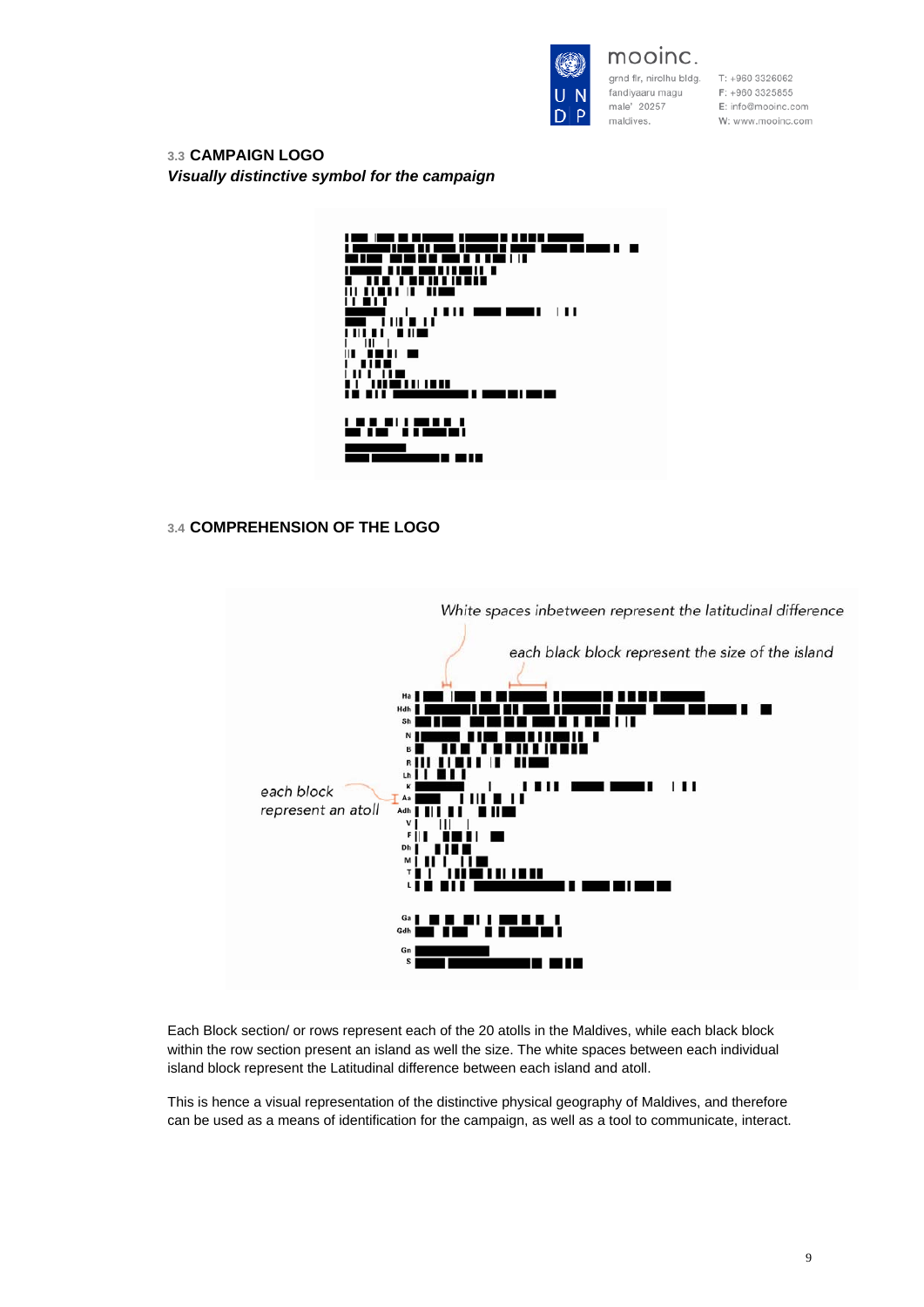

**3.3 CAMPAIGN LOGO**  *Visually distinctive symbol for the campaign* 

| - 111<br>.<br>ш<br>ш<br>ш<br>ш<br>.<br>.<br>. .<br>11 I II<br>ш<br>. .<br>┅<br>.<br><b>A 11 M</b><br>I<br>Ш |
|-------------------------------------------------------------------------------------------------------------|
| - 1<br>ш<br>ш<br>ш<br>ш<br>- 1<br>. .<br>- 11<br>▅                                                          |
| . .<br>.<br>п<br>$\overline{\phantom{0}}$<br>- 1<br>- 11<br>- - -                                           |

## **3.4 COMPREHENSION OF THE LOGO**



Each Block section/ or rows represent each of the 20 atolls in the Maldives, while each black block within the row section present an island as well the size. The white spaces between each individual island block represent the Latitudinal difference between each island and atoll.

This is hence a visual representation of the distinctive physical geography of Maldives, and therefore can be used as a means of identification for the campaign, as well as a tool to communicate, interact.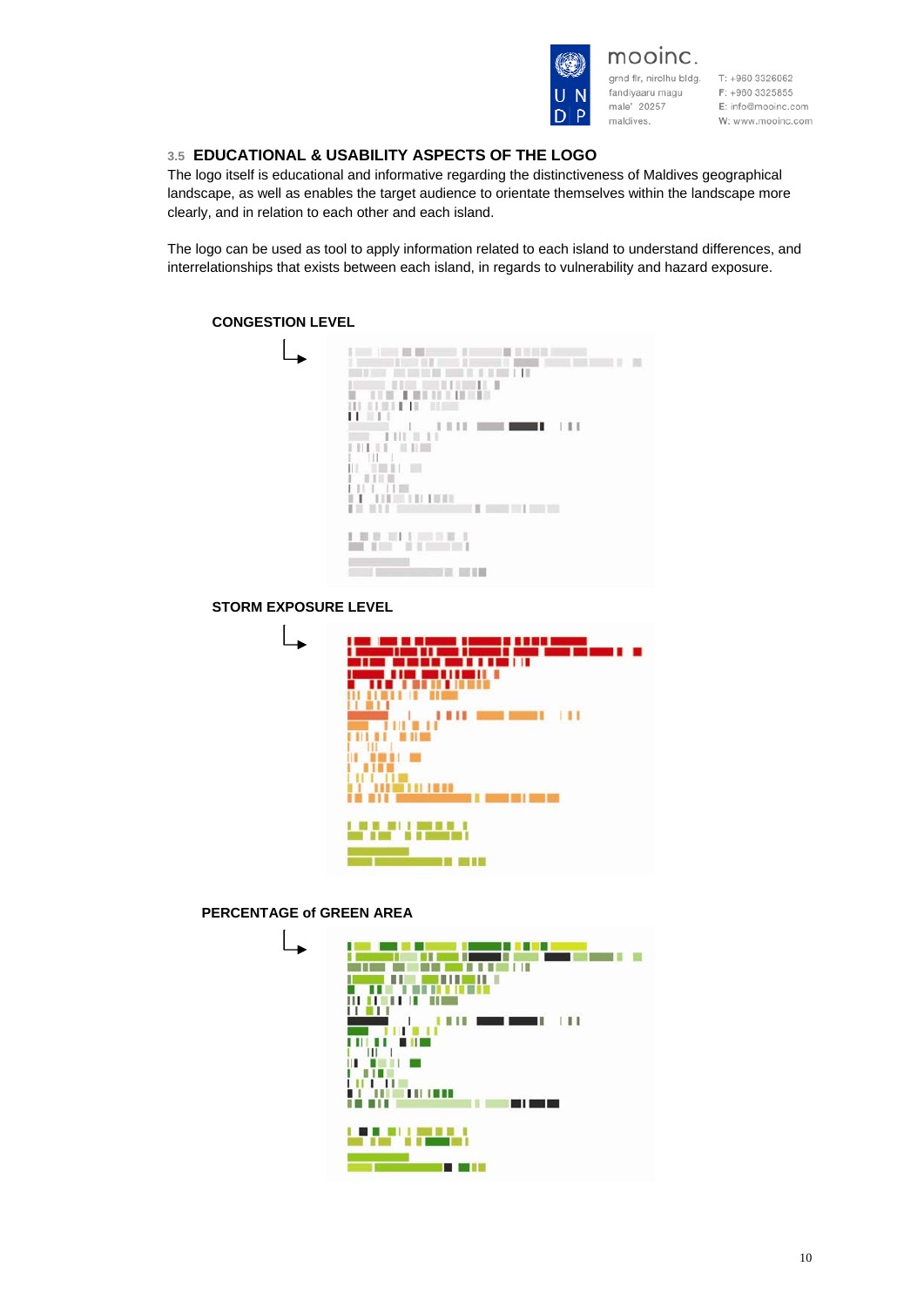

mooinc. grnd flr, nirolhu bldg. fandiyaaru magu male' 20257

T: +960 3326062 F: +960 3325855 E: info@mooinc.com W: www.mooinc.com

## **3.5 EDUCATIONAL & USABILITY ASPECTS OF THE LOGO**

The logo itself is educational and informative regarding the distinctiveness of Maldives geographical landscape, as well as enables the target audience to orientate themselves within the landscape more clearly, and in relation to each other and each island.

The logo can be used as tool to apply information related to each island to understand differences, and interrelationships that exists between each island, in regards to vulnerability and hazard exposure.



**STORM EXPOSURE LEVEL**



**PERCENTAGE of GREEN AREA**

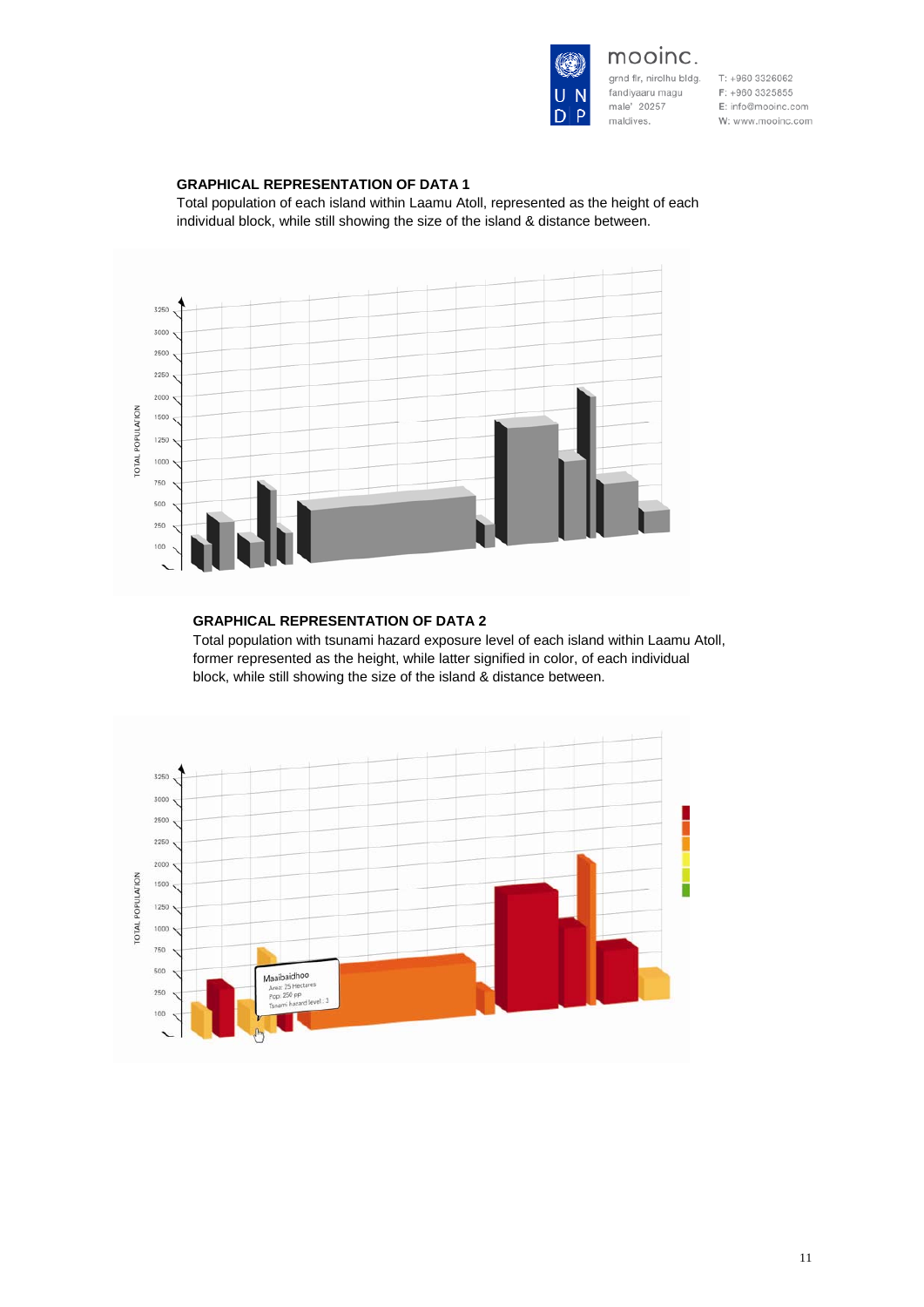

## **GRAPHICAL REPRESENTATION OF DATA 1**

Total population of each island within Laamu Atoll, represented as the height of each individual block, while still showing the size of the island & distance between.



## **GRAPHICAL REPRESENTATION OF DATA 2**

Total population with tsunami hazard exposure level of each island within Laamu Atoll, former represented as the height, while latter signified in color, of each individual block, while still showing the size of the island & distance between.

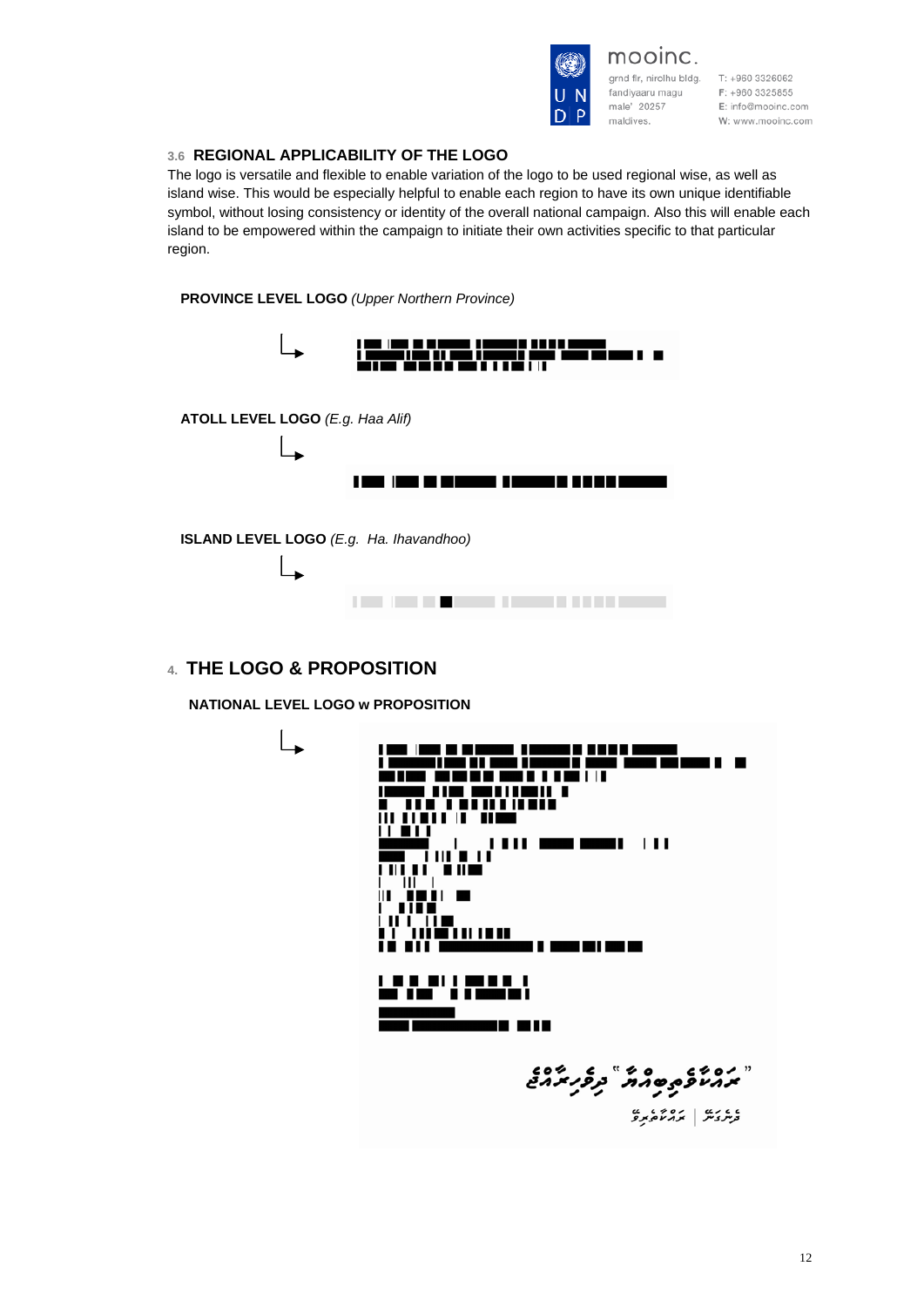

## **3.6 REGIONAL APPLICABILITY OF THE LOGO**

The logo is versatile and flexible to enable variation of the logo to be used regional wise, as well as island wise. This would be especially helpful to enable each region to have its own unique identifiable symbol, without losing consistency or identity of the overall national campaign. Also this will enable each island to be empowered within the campaign to initiate their own activities specific to that particular region.

**PROVINCE LEVEL LOGO** *(Upper Northern Province)*



**ISLAND LEVEL LOGO** *(E.g. Ha. Ihavandhoo)*



## **4. THE LOGO & PROPOSITION**

**NATIONAL LEVEL LOGO w PROPOSITION**

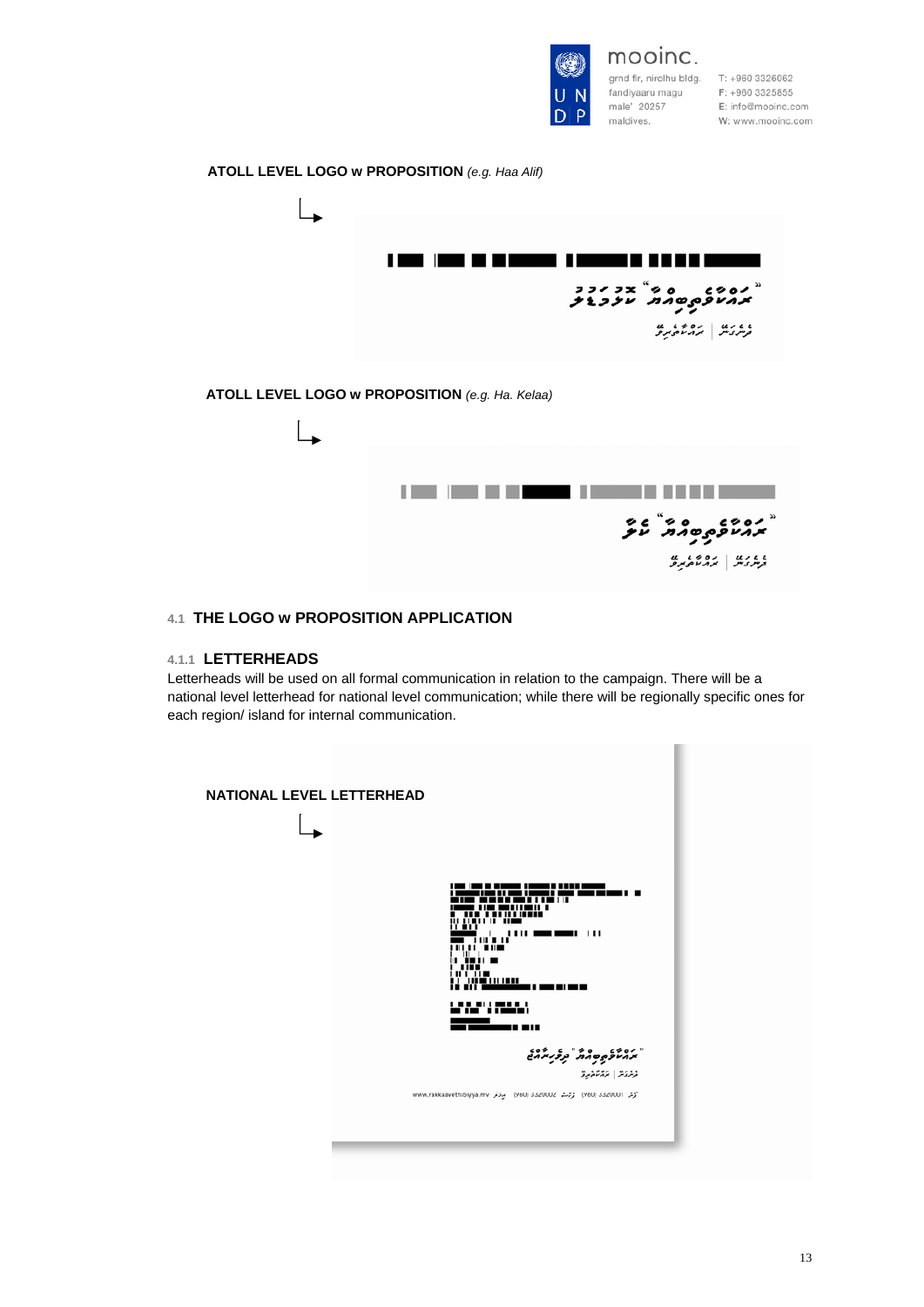

## **ATOLL LEVEL LOGO w PROPOSITION** *(e.g. Haa Alif)*



## **ATOLL LEVEL LOGO w PROPOSITION** *(e.g. Ha. Kelaa)*



## **4.1 THE LOGO w PROPOSITION APPLICATION**

## **4.1.1 LETTERHEADS**

Letterheads will be used on all formal communication in relation to the campaign. There will be a national level letterhead for national level communication; while there will be regionally specific ones for each region/ island for internal communication.

| NATIONAL LEVEL LETTERHEAD |                                                                                                                                                                                                               |  |
|---------------------------|---------------------------------------------------------------------------------------------------------------------------------------------------------------------------------------------------------------|--|
|                           | ----<br>----<br>,,,,,,,,,,,,,<br><del>.</del><br>.<br><u>a Ta</u> chartasanan<br>mm<br>mu m<br>L JIL L<br>in Ton o<br>ր համար<br>11 մահանական առաջար<br>د د <u>رو سن</u><br>.<br><u>La Pia (1944)</u><br>---- |  |
|                           | "הגלשפת סגת" תַפֿקידנגם                                                                                                                                                                                       |  |
|                           | زرد به دوم برو                                                                                                                                                                                                |  |
|                           | كرتر (960) 3320002 (960) ويتمسط (960) 3320002 (960) ميتنشر www.rakkaavethibiyya.mv                                                                                                                            |  |
|                           |                                                                                                                                                                                                               |  |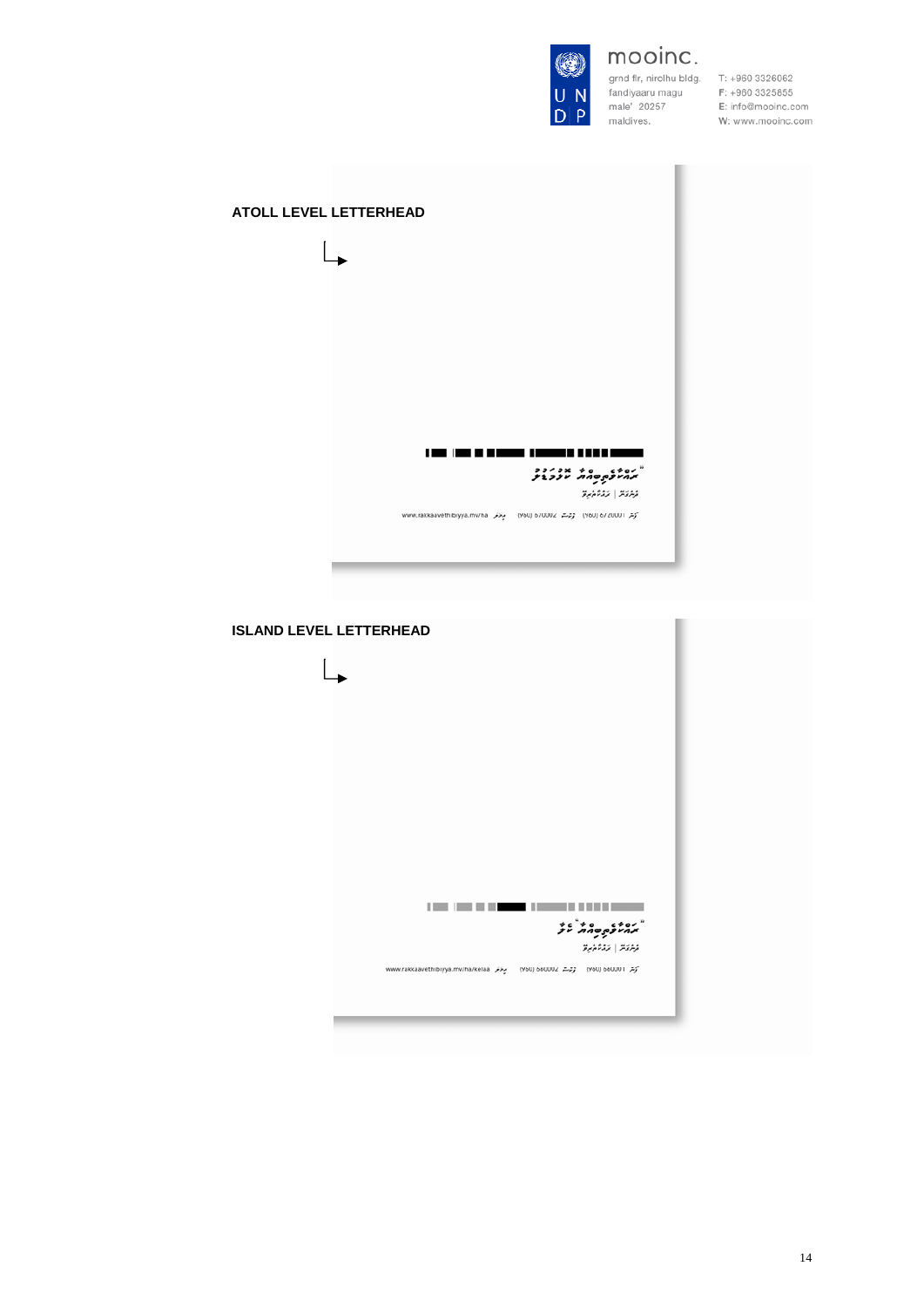

mooinc. fandiyaaru magu<br>fandiyaaru magu<br>male' 20257<br>maldives.

E: info@mooinc.com W: www.mooinc.com



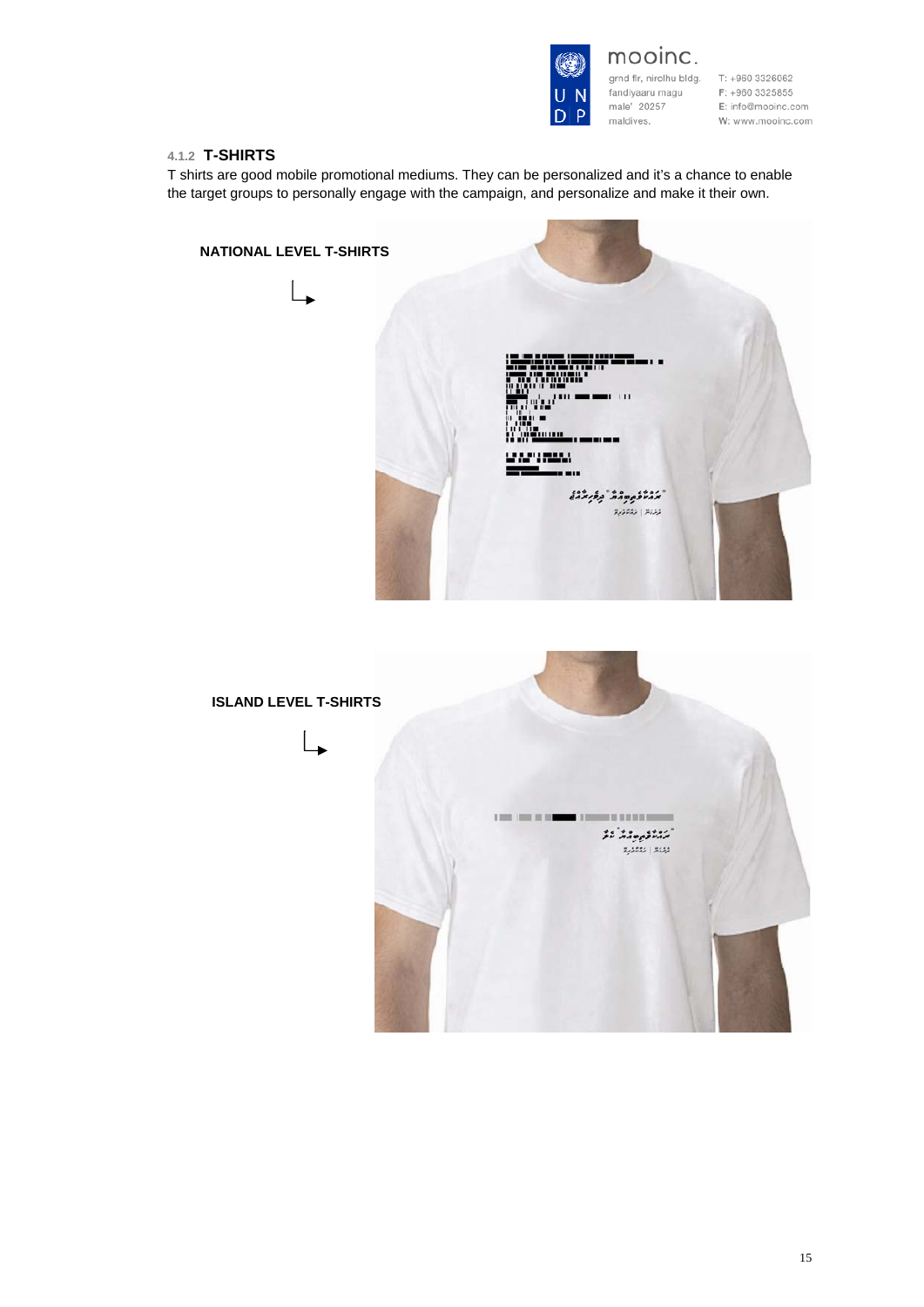

mooinc. grnd flr, nirolhu bldg. T: +960 3326062 -<br>fandiyaaru magu male' 20257 maldives.

F: +960 3325855 E: info@mooinc.com W: www.mooinc.com

## **4.1.2 T-SHIRTS**

T shirts are good mobile promotional mediums. They can be personalized and it's a chance to enable the target groups to personally engage with the campaign, and personalize and make it their own.

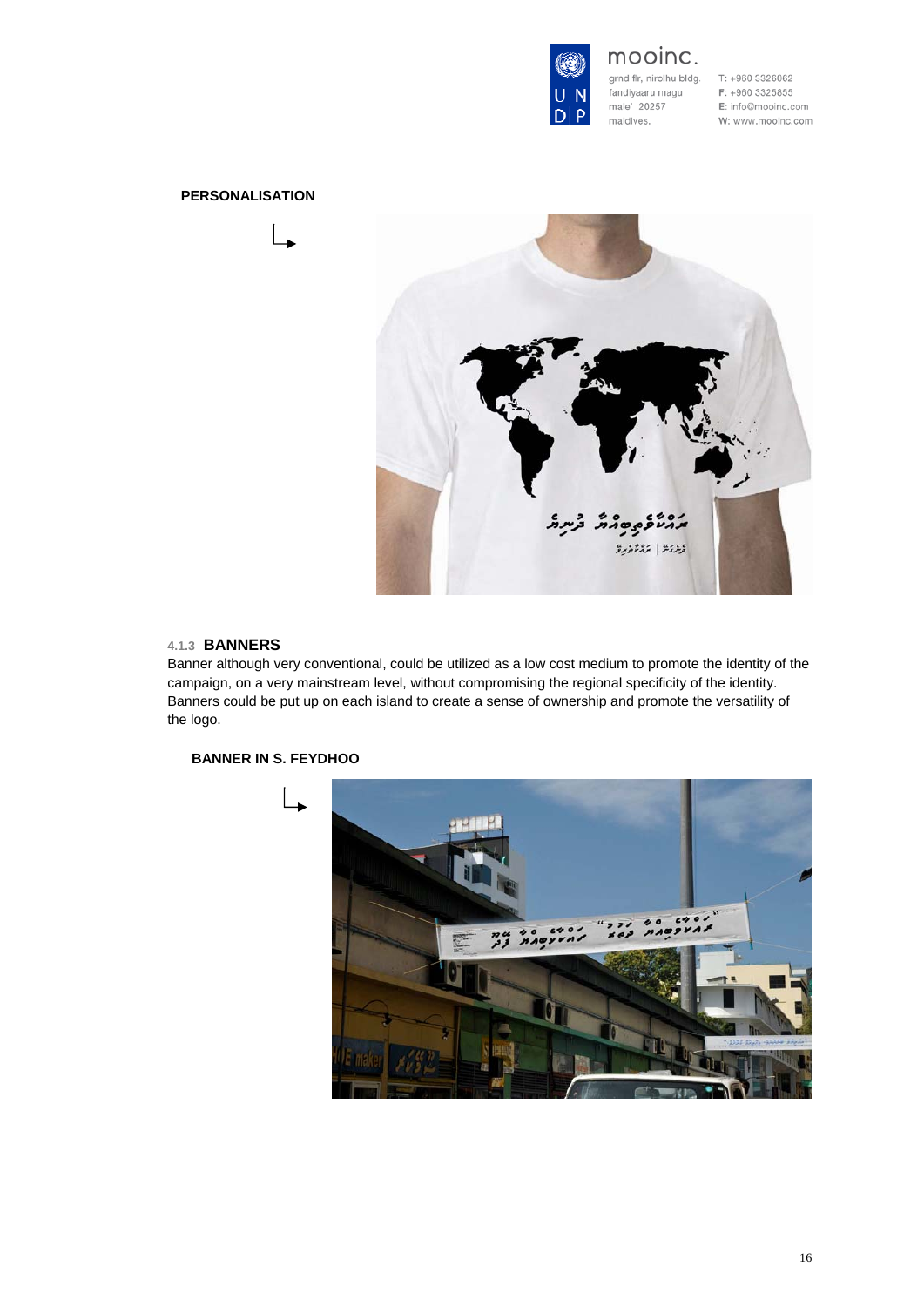

mooinc. grnd flr, nirolhu bldg. -<br>fandiyaaru magu male' 20257 maldives.

T: +960 3326062 F: +960 3325855 E: info@mooinc.com W: www.mooinc.com

**PERSONALISATION** 

 $\Box$ 



## **4.1.3 BANNERS**

Banner although very conventional, could be utilized as a low cost medium to promote the identity of the campaign, on a very mainstream level, without compromising the regional specificity of the identity. Banners could be put up on each island to create a sense of ownership and promote the versatility of the logo.



#### **BANNER IN S. FEYDHOO**